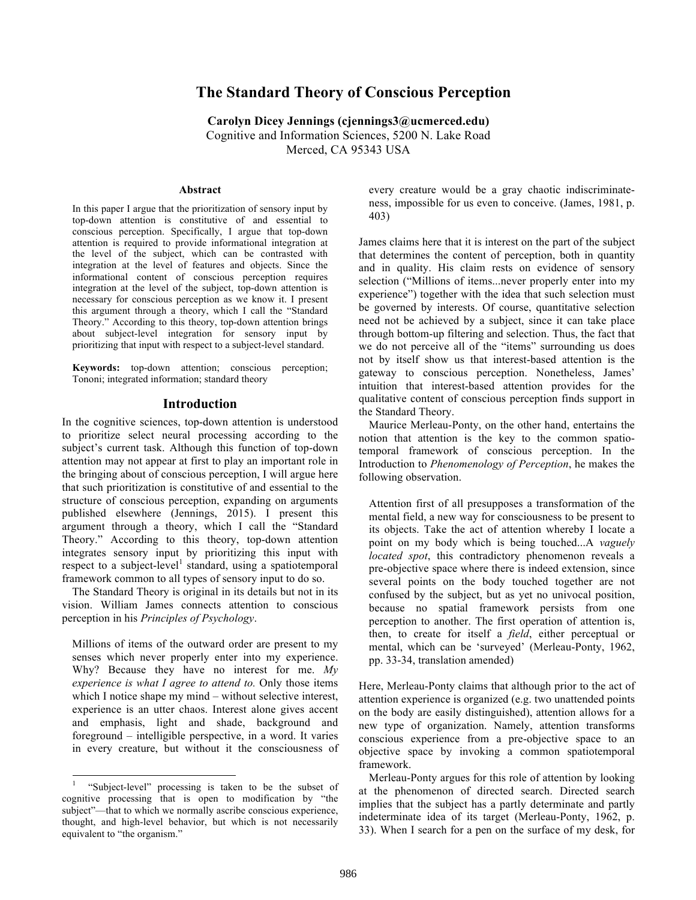# **The Standard Theory of Conscious Perception**

**Carolyn Dicey Jennings (cjennings3@ucmerced.edu)** Cognitive and Information Sciences, 5200 N. Lake Road Merced, CA 95343 USA

#### **Abstract**

In this paper I argue that the prioritization of sensory input by top-down attention is constitutive of and essential to conscious perception. Specifically, I argue that top-down attention is required to provide informational integration at the level of the subject, which can be contrasted with integration at the level of features and objects. Since the informational content of conscious perception requires integration at the level of the subject, top-down attention is necessary for conscious perception as we know it. I present this argument through a theory, which I call the "Standard Theory." According to this theory, top-down attention brings about subject-level integration for sensory input by prioritizing that input with respect to a subject-level standard.

**Keywords:** top-down attention; conscious perception; Tononi; integrated information; standard theory

#### **Introduction**

In the cognitive sciences, top-down attention is understood to prioritize select neural processing according to the subject's current task. Although this function of top-down attention may not appear at first to play an important role in the bringing about of conscious perception, I will argue here that such prioritization is constitutive of and essential to the structure of conscious perception, expanding on arguments published elsewhere (Jennings, 2015). I present this argument through a theory, which I call the "Standard Theory." According to this theory, top-down attention integrates sensory input by prioritizing this input with respect to a subject-level<sup> $\perp$ </sup> standard, using a spatiotemporal framework common to all types of sensory input to do so.

The Standard Theory is original in its details but not in its vision. William James connects attention to conscious perception in his *Principles of Psychology*.

Millions of items of the outward order are present to my senses which never properly enter into my experience. Why? Because they have no interest for me. *My experience is what I agree to attend to.* Only those items which I notice shape my mind – without selective interest, experience is an utter chaos. Interest alone gives accent and emphasis, light and shade, background and foreground – intelligible perspective, in a word. It varies in every creature, but without it the consciousness of every creature would be a gray chaotic indiscriminateness, impossible for us even to conceive. (James, 1981, p. 403)

James claims here that it is interest on the part of the subject that determines the content of perception, both in quantity and in quality. His claim rests on evidence of sensory selection ("Millions of items...never properly enter into my experience") together with the idea that such selection must be governed by interests. Of course, quantitative selection need not be achieved by a subject, since it can take place through bottom-up filtering and selection. Thus, the fact that we do not perceive all of the "items" surrounding us does not by itself show us that interest-based attention is the gateway to conscious perception. Nonetheless, James' intuition that interest-based attention provides for the qualitative content of conscious perception finds support in the Standard Theory.

Maurice Merleau-Ponty, on the other hand, entertains the notion that attention is the key to the common spatiotemporal framework of conscious perception. In the Introduction to *Phenomenology of Perception*, he makes the following observation.

Attention first of all presupposes a transformation of the mental field, a new way for consciousness to be present to its objects. Take the act of attention whereby I locate a point on my body which is being touched...A *vaguely located spot*, this contradictory phenomenon reveals a pre-objective space where there is indeed extension, since several points on the body touched together are not confused by the subject, but as yet no univocal position, because no spatial framework persists from one perception to another. The first operation of attention is, then, to create for itself a *field*, either perceptual or mental, which can be 'surveyed' (Merleau-Ponty, 1962, pp. 33-34, translation amended)

Here, Merleau-Ponty claims that although prior to the act of attention experience is organized (e.g. two unattended points on the body are easily distinguished), attention allows for a new type of organization. Namely, attention transforms conscious experience from a pre-objective space to an objective space by invoking a common spatiotemporal framework.

Merleau-Ponty argues for this role of attention by looking at the phenomenon of directed search. Directed search implies that the subject has a partly determinate and partly indeterminate idea of its target (Merleau-Ponty, 1962, p. 33). When I search for a pen on the surface of my desk, for

 $\frac{1}{1}$ <sup>1</sup> "Subject-level" processing is taken to be the subset of cognitive processing that is open to modification by "the subject"—that to which we normally ascribe conscious experience, thought, and high-level behavior, but which is not necessarily equivalent to "the organism."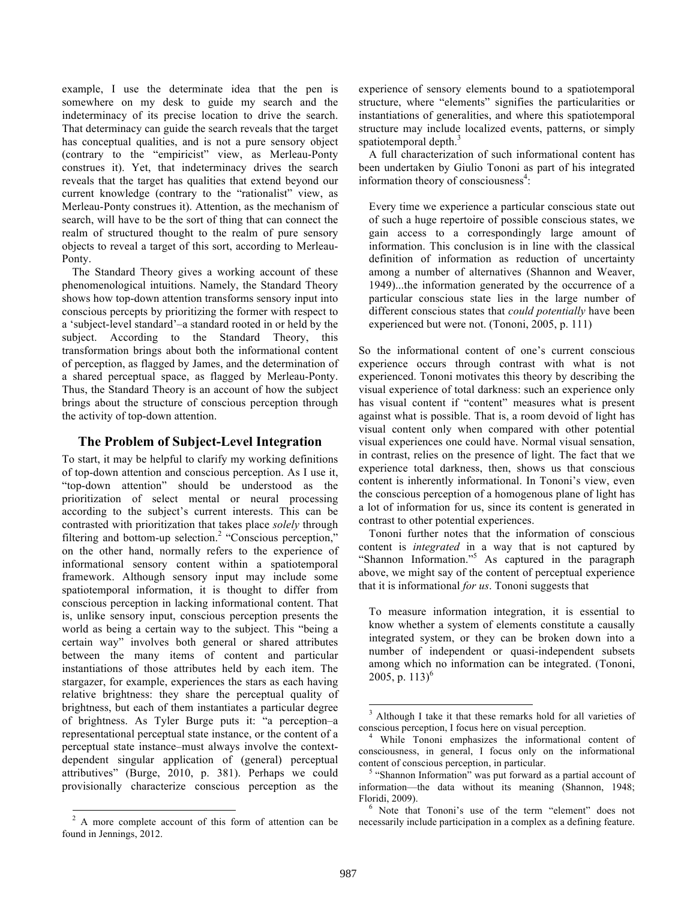example, I use the determinate idea that the pen is somewhere on my desk to guide my search and the indeterminacy of its precise location to drive the search. That determinacy can guide the search reveals that the target has conceptual qualities, and is not a pure sensory object (contrary to the "empiricist" view, as Merleau-Ponty construes it). Yet, that indeterminacy drives the search reveals that the target has qualities that extend beyond our current knowledge (contrary to the "rationalist" view, as Merleau-Ponty construes it). Attention, as the mechanism of search, will have to be the sort of thing that can connect the realm of structured thought to the realm of pure sensory objects to reveal a target of this sort, according to Merleau-Ponty.

The Standard Theory gives a working account of these phenomenological intuitions. Namely, the Standard Theory shows how top-down attention transforms sensory input into conscious percepts by prioritizing the former with respect to a 'subject-level standard'–a standard rooted in or held by the subject. According to the Standard Theory, this transformation brings about both the informational content of perception, as flagged by James, and the determination of a shared perceptual space, as flagged by Merleau-Ponty. Thus, the Standard Theory is an account of how the subject brings about the structure of conscious perception through the activity of top-down attention.

#### **The Problem of Subject-Level Integration**

To start, it may be helpful to clarify my working definitions of top-down attention and conscious perception. As I use it, "top-down attention" should be understood as the prioritization of select mental or neural processing according to the subject's current interests. This can be contrasted with prioritization that takes place *solely* through filtering and bottom-up selection.<sup>2</sup> "Conscious perception," on the other hand, normally refers to the experience of informational sensory content within a spatiotemporal framework. Although sensory input may include some spatiotemporal information, it is thought to differ from conscious perception in lacking informational content. That is, unlike sensory input, conscious perception presents the world as being a certain way to the subject. This "being a certain way" involves both general or shared attributes between the many items of content and particular instantiations of those attributes held by each item. The stargazer, for example, experiences the stars as each having relative brightness: they share the perceptual quality of brightness, but each of them instantiates a particular degree of brightness. As Tyler Burge puts it: "a perception–a representational perceptual state instance, or the content of a perceptual state instance–must always involve the contextdependent singular application of (general) perceptual attributives" (Burge, 2010, p. 381). Perhaps we could provisionally characterize conscious perception as the

experience of sensory elements bound to a spatiotemporal structure, where "elements" signifies the particularities or instantiations of generalities, and where this spatiotemporal structure may include localized events, patterns, or simply spatiotemporal depth.<sup>3</sup>

A full characterization of such informational content has been undertaken by Giulio Tononi as part of his integrated information theory of consciousness<sup>4</sup>:

Every time we experience a particular conscious state out of such a huge repertoire of possible conscious states, we gain access to a correspondingly large amount of information. This conclusion is in line with the classical definition of information as reduction of uncertainty among a number of alternatives (Shannon and Weaver, 1949)...the information generated by the occurrence of a particular conscious state lies in the large number of different conscious states that *could potentially* have been experienced but were not. (Tononi, 2005, p. 111)

So the informational content of one's current conscious experience occurs through contrast with what is not experienced. Tononi motivates this theory by describing the visual experience of total darkness: such an experience only has visual content if "content" measures what is present against what is possible. That is, a room devoid of light has visual content only when compared with other potential visual experiences one could have. Normal visual sensation, in contrast, relies on the presence of light. The fact that we experience total darkness, then, shows us that conscious content is inherently informational. In Tononi's view, even the conscious perception of a homogenous plane of light has a lot of information for us, since its content is generated in contrast to other potential experiences.

Tononi further notes that the information of conscious content is *integrated* in a way that is not captured by "Shannon Information."<sup>5</sup> As captured in the paragraph above, we might say of the content of perceptual experience that it is informational *for us*. Tononi suggests that

To measure information integration, it is essential to know whether a system of elements constitute a causally integrated system, or they can be broken down into a number of independent or quasi-independent subsets among which no information can be integrated. (Tononi, 2005, p. 113)<sup>6</sup>

 $2 \text{ A}$  more complete account of this form of attention can be found in Jennings, 2012.

<sup>&</sup>lt;sup>3</sup> Although I take it that these remarks hold for all varieties of

conscious perception, I focus here on visual perception. <sup>4</sup> While Tononi emphasizes the informational content of consciousness, in general, I focus only on the informational content of conscious perception, in particular.<br><sup>5</sup> "Shannon Information" was put forward as a partial account of

information—the data without its meaning (Shannon, 1948; Floridi, 2009).<br><sup>6</sup> Note that Tononi's use of the term "element" does not

necessarily include participation in a complex as a defining feature.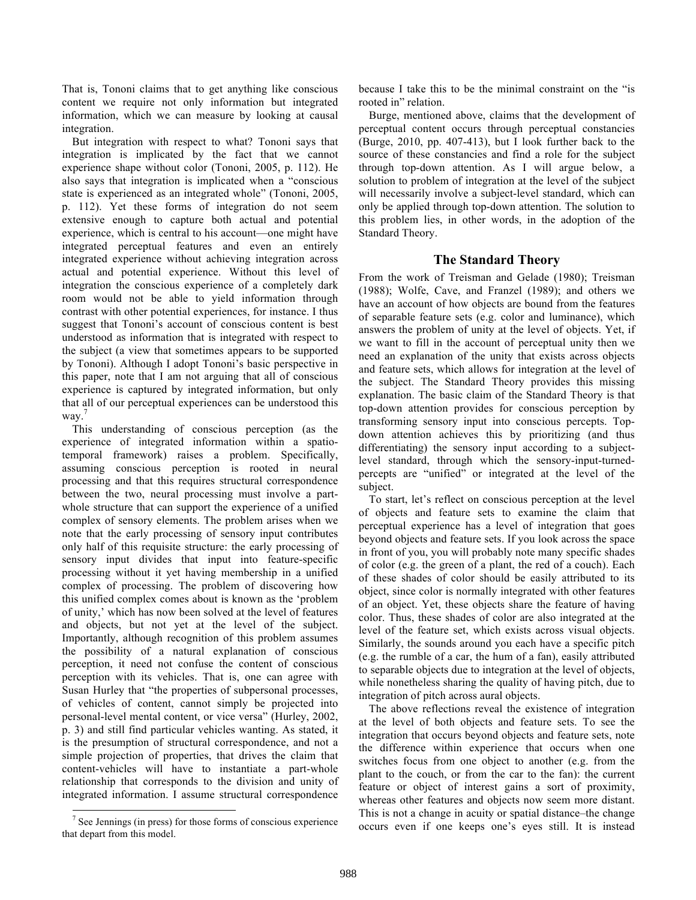That is, Tononi claims that to get anything like conscious content we require not only information but integrated information, which we can measure by looking at causal integration.

But integration with respect to what? Tononi says that integration is implicated by the fact that we cannot experience shape without color (Tononi, 2005, p. 112). He also says that integration is implicated when a "conscious state is experienced as an integrated whole" (Tononi, 2005, p. 112). Yet these forms of integration do not seem extensive enough to capture both actual and potential experience, which is central to his account—one might have integrated perceptual features and even an entirely integrated experience without achieving integration across actual and potential experience. Without this level of integration the conscious experience of a completely dark room would not be able to yield information through contrast with other potential experiences, for instance. I thus suggest that Tononi's account of conscious content is best understood as information that is integrated with respect to the subject (a view that sometimes appears to be supported by Tononi). Although I adopt Tononi's basic perspective in this paper, note that I am not arguing that all of conscious experience is captured by integrated information, but only that all of our perceptual experiences can be understood this way.<sup>7</sup>

This understanding of conscious perception (as the experience of integrated information within a spatiotemporal framework) raises a problem. Specifically, assuming conscious perception is rooted in neural processing and that this requires structural correspondence between the two, neural processing must involve a partwhole structure that can support the experience of a unified complex of sensory elements. The problem arises when we note that the early processing of sensory input contributes only half of this requisite structure: the early processing of sensory input divides that input into feature-specific processing without it yet having membership in a unified complex of processing. The problem of discovering how this unified complex comes about is known as the 'problem of unity,' which has now been solved at the level of features and objects, but not yet at the level of the subject. Importantly, although recognition of this problem assumes the possibility of a natural explanation of conscious perception, it need not confuse the content of conscious perception with its vehicles. That is, one can agree with Susan Hurley that "the properties of subpersonal processes, of vehicles of content, cannot simply be projected into personal-level mental content, or vice versa" (Hurley, 2002, p. 3) and still find particular vehicles wanting. As stated, it is the presumption of structural correspondence, and not a simple projection of properties, that drives the claim that content-vehicles will have to instantiate a part-whole relationship that corresponds to the division and unity of integrated information. I assume structural correspondence

because I take this to be the minimal constraint on the "is rooted in" relation.

Burge, mentioned above, claims that the development of perceptual content occurs through perceptual constancies (Burge, 2010, pp. 407-413), but I look further back to the source of these constancies and find a role for the subject through top-down attention. As I will argue below, a solution to problem of integration at the level of the subject will necessarily involve a subject-level standard, which can only be applied through top-down attention. The solution to this problem lies, in other words, in the adoption of the Standard Theory.

## **The Standard Theory**

From the work of Treisman and Gelade (1980); Treisman (1988); Wolfe, Cave, and Franzel (1989); and others we have an account of how objects are bound from the features of separable feature sets (e.g. color and luminance), which answers the problem of unity at the level of objects. Yet, if we want to fill in the account of perceptual unity then we need an explanation of the unity that exists across objects and feature sets, which allows for integration at the level of the subject. The Standard Theory provides this missing explanation. The basic claim of the Standard Theory is that top-down attention provides for conscious perception by transforming sensory input into conscious percepts. Topdown attention achieves this by prioritizing (and thus differentiating) the sensory input according to a subjectlevel standard, through which the sensory-input-turnedpercepts are "unified" or integrated at the level of the subject.

To start, let's reflect on conscious perception at the level of objects and feature sets to examine the claim that perceptual experience has a level of integration that goes beyond objects and feature sets. If you look across the space in front of you, you will probably note many specific shades of color (e.g. the green of a plant, the red of a couch). Each of these shades of color should be easily attributed to its object, since color is normally integrated with other features of an object. Yet, these objects share the feature of having color. Thus, these shades of color are also integrated at the level of the feature set, which exists across visual objects. Similarly, the sounds around you each have a specific pitch (e.g. the rumble of a car, the hum of a fan), easily attributed to separable objects due to integration at the level of objects, while nonetheless sharing the quality of having pitch, due to integration of pitch across aural objects.

The above reflections reveal the existence of integration at the level of both objects and feature sets. To see the integration that occurs beyond objects and feature sets, note the difference within experience that occurs when one switches focus from one object to another (e.g. from the plant to the couch, or from the car to the fan): the current feature or object of interest gains a sort of proximity, whereas other features and objects now seem more distant. This is not a change in acuity or spatial distance–the change occurs even if one keeps one's eyes still. It is instead

 $<sup>7</sup>$  See Jennings (in press) for those forms of conscious experience</sup> that depart from this model.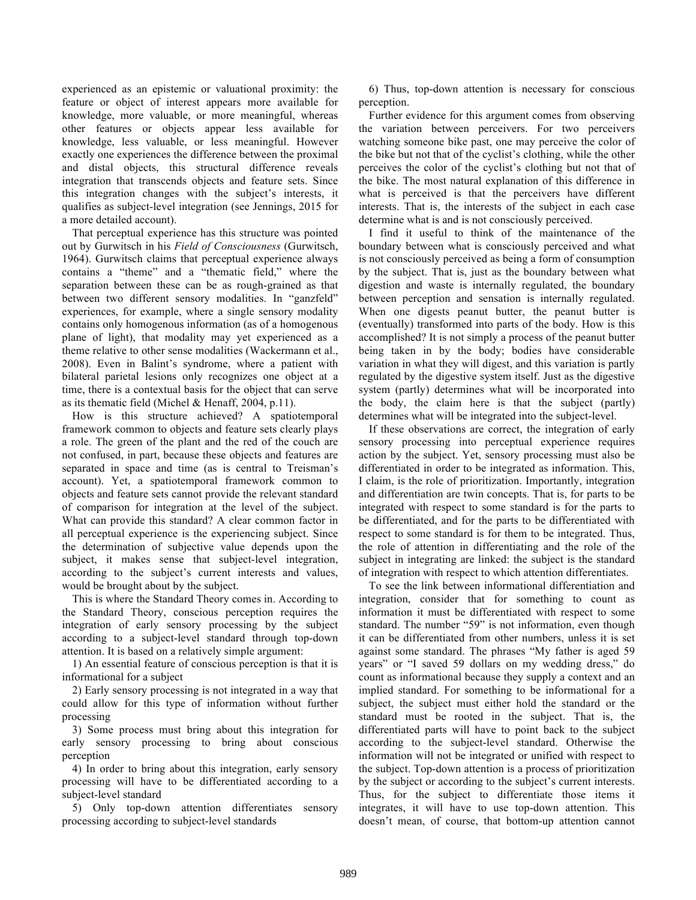experienced as an epistemic or valuational proximity: the feature or object of interest appears more available for knowledge, more valuable, or more meaningful, whereas other features or objects appear less available for knowledge, less valuable, or less meaningful. However exactly one experiences the difference between the proximal and distal objects, this structural difference reveals integration that transcends objects and feature sets. Since this integration changes with the subject's interests, it qualifies as subject-level integration (see Jennings, 2015 for a more detailed account).

That perceptual experience has this structure was pointed out by Gurwitsch in his *Field of Consciousness* (Gurwitsch, 1964). Gurwitsch claims that perceptual experience always contains a "theme" and a "thematic field," where the separation between these can be as rough-grained as that between two different sensory modalities. In "ganzfeld" experiences, for example, where a single sensory modality contains only homogenous information (as of a homogenous plane of light), that modality may yet experienced as a theme relative to other sense modalities (Wackermann et al., 2008). Even in Balint's syndrome, where a patient with bilateral parietal lesions only recognizes one object at a time, there is a contextual basis for the object that can serve as its thematic field (Michel & Henaff, 2004, p.11).

How is this structure achieved? A spatiotemporal framework common to objects and feature sets clearly plays a role. The green of the plant and the red of the couch are not confused, in part, because these objects and features are separated in space and time (as is central to Treisman's account). Yet, a spatiotemporal framework common to objects and feature sets cannot provide the relevant standard of comparison for integration at the level of the subject. What can provide this standard? A clear common factor in all perceptual experience is the experiencing subject. Since the determination of subjective value depends upon the subject, it makes sense that subject-level integration, according to the subject's current interests and values, would be brought about by the subject.

This is where the Standard Theory comes in. According to the Standard Theory, conscious perception requires the integration of early sensory processing by the subject according to a subject-level standard through top-down attention. It is based on a relatively simple argument:

1) An essential feature of conscious perception is that it is informational for a subject

2) Early sensory processing is not integrated in a way that could allow for this type of information without further processing

3) Some process must bring about this integration for early sensory processing to bring about conscious perception

4) In order to bring about this integration, early sensory processing will have to be differentiated according to a subject-level standard

5) Only top-down attention differentiates sensory processing according to subject-level standards

6) Thus, top-down attention is necessary for conscious perception.

Further evidence for this argument comes from observing the variation between perceivers. For two perceivers watching someone bike past, one may perceive the color of the bike but not that of the cyclist's clothing, while the other perceives the color of the cyclist's clothing but not that of the bike. The most natural explanation of this difference in what is perceived is that the perceivers have different interests. That is, the interests of the subject in each case determine what is and is not consciously perceived.

I find it useful to think of the maintenance of the boundary between what is consciously perceived and what is not consciously perceived as being a form of consumption by the subject. That is, just as the boundary between what digestion and waste is internally regulated, the boundary between perception and sensation is internally regulated. When one digests peanut butter, the peanut butter is (eventually) transformed into parts of the body. How is this accomplished? It is not simply a process of the peanut butter being taken in by the body; bodies have considerable variation in what they will digest, and this variation is partly regulated by the digestive system itself. Just as the digestive system (partly) determines what will be incorporated into the body, the claim here is that the subject (partly) determines what will be integrated into the subject-level.

If these observations are correct, the integration of early sensory processing into perceptual experience requires action by the subject. Yet, sensory processing must also be differentiated in order to be integrated as information. This, I claim, is the role of prioritization. Importantly, integration and differentiation are twin concepts. That is, for parts to be integrated with respect to some standard is for the parts to be differentiated, and for the parts to be differentiated with respect to some standard is for them to be integrated. Thus, the role of attention in differentiating and the role of the subject in integrating are linked: the subject is the standard of integration with respect to which attention differentiates.

To see the link between informational differentiation and integration, consider that for something to count as information it must be differentiated with respect to some standard. The number "59" is not information, even though it can be differentiated from other numbers, unless it is set against some standard. The phrases "My father is aged 59 years" or "I saved 59 dollars on my wedding dress," do count as informational because they supply a context and an implied standard. For something to be informational for a subject, the subject must either hold the standard or the standard must be rooted in the subject. That is, the differentiated parts will have to point back to the subject according to the subject-level standard. Otherwise the information will not be integrated or unified with respect to the subject. Top-down attention is a process of prioritization by the subject or according to the subject's current interests. Thus, for the subject to differentiate those items it integrates, it will have to use top-down attention. This doesn't mean, of course, that bottom-up attention cannot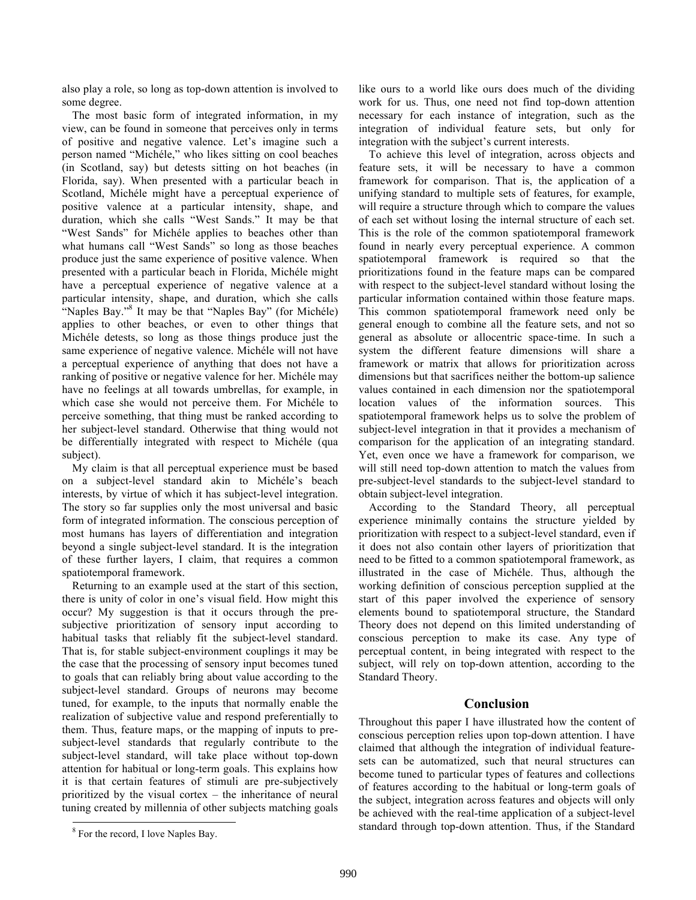also play a role, so long as top-down attention is involved to some degree.

The most basic form of integrated information, in my view, can be found in someone that perceives only in terms of positive and negative valence. Let's imagine such a person named "Michéle," who likes sitting on cool beaches (in Scotland, say) but detests sitting on hot beaches (in Florida, say). When presented with a particular beach in Scotland, Michéle might have a perceptual experience of positive valence at a particular intensity, shape, and duration, which she calls "West Sands." It may be that "West Sands" for Michéle applies to beaches other than what humans call "West Sands" so long as those beaches produce just the same experience of positive valence. When presented with a particular beach in Florida, Michéle might have a perceptual experience of negative valence at a particular intensity, shape, and duration, which she calls "Naples Bay."8 It may be that "Naples Bay" (for Michéle) applies to other beaches, or even to other things that Michéle detests, so long as those things produce just the same experience of negative valence. Michéle will not have a perceptual experience of anything that does not have a ranking of positive or negative valence for her. Michéle may have no feelings at all towards umbrellas, for example, in which case she would not perceive them. For Michéle to perceive something, that thing must be ranked according to her subject-level standard. Otherwise that thing would not be differentially integrated with respect to Michéle (qua subject).

My claim is that all perceptual experience must be based on a subject-level standard akin to Michéle's beach interests, by virtue of which it has subject-level integration. The story so far supplies only the most universal and basic form of integrated information. The conscious perception of most humans has layers of differentiation and integration beyond a single subject-level standard. It is the integration of these further layers, I claim, that requires a common spatiotemporal framework.

Returning to an example used at the start of this section, there is unity of color in one's visual field. How might this occur? My suggestion is that it occurs through the presubjective prioritization of sensory input according to habitual tasks that reliably fit the subject-level standard. That is, for stable subject-environment couplings it may be the case that the processing of sensory input becomes tuned to goals that can reliably bring about value according to the subject-level standard. Groups of neurons may become tuned, for example, to the inputs that normally enable the realization of subjective value and respond preferentially to them. Thus, feature maps, or the mapping of inputs to presubject-level standards that regularly contribute to the subject-level standard, will take place without top-down attention for habitual or long-term goals. This explains how it is that certain features of stimuli are pre-subjectively prioritized by the visual cortex – the inheritance of neural tuning created by millennia of other subjects matching goals

like ours to a world like ours does much of the dividing work for us. Thus, one need not find top-down attention necessary for each instance of integration, such as the integration of individual feature sets, but only for integration with the subject's current interests.

To achieve this level of integration, across objects and feature sets, it will be necessary to have a common framework for comparison. That is, the application of a unifying standard to multiple sets of features, for example, will require a structure through which to compare the values of each set without losing the internal structure of each set. This is the role of the common spatiotemporal framework found in nearly every perceptual experience. A common spatiotemporal framework is required so that the prioritizations found in the feature maps can be compared with respect to the subject-level standard without losing the particular information contained within those feature maps. This common spatiotemporal framework need only be general enough to combine all the feature sets, and not so general as absolute or allocentric space-time. In such a system the different feature dimensions will share a framework or matrix that allows for prioritization across dimensions but that sacrifices neither the bottom-up salience values contained in each dimension nor the spatiotemporal location values of the information sources. This spatiotemporal framework helps us to solve the problem of subject-level integration in that it provides a mechanism of comparison for the application of an integrating standard. Yet, even once we have a framework for comparison, we will still need top-down attention to match the values from pre-subject-level standards to the subject-level standard to obtain subject-level integration.

According to the Standard Theory, all perceptual experience minimally contains the structure yielded by prioritization with respect to a subject-level standard, even if it does not also contain other layers of prioritization that need to be fitted to a common spatiotemporal framework, as illustrated in the case of Michéle. Thus, although the working definition of conscious perception supplied at the start of this paper involved the experience of sensory elements bound to spatiotemporal structure, the Standard Theory does not depend on this limited understanding of conscious perception to make its case. Any type of perceptual content, in being integrated with respect to the subject, will rely on top-down attention, according to the Standard Theory.

## **Conclusion**

Throughout this paper I have illustrated how the content of conscious perception relies upon top-down attention. I have claimed that although the integration of individual featuresets can be automatized, such that neural structures can become tuned to particular types of features and collections of features according to the habitual or long-term goals of the subject, integration across features and objects will only be achieved with the real-time application of a subject-level standard through top-down attention. Thus, if the Standard

 <sup>8</sup> For the record, I love Naples Bay.